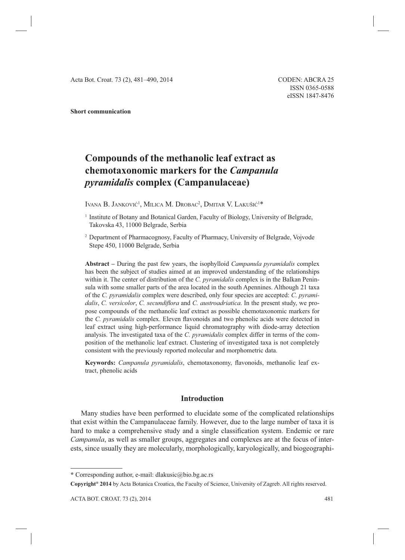#### **Short communication**

# **Compounds of the methanolic leaf extract as chemotaxonomic markers for the** *Campanula pyramidalis* **complex (Campanulaceae)**

Ivana B. Janković<sup>1</sup>, Milica M. Drobac<sup>2</sup>, Dmitar V. Lakušić<sup>1\*</sup>

2 Department of Pharmacognosy, Faculty of Pharmacy, University of Belgrade, Vojvode Stepe 450, 11000 Belgrade, Serbia

**Abstract –** During the past few years, the isophylloid *Campanula pyramidalis* complex has been the subject of studies aimed at an improved understanding of the relationships within it. The center of distribution of the *C. pyramidalis* complex is in the Balkan Peninsula with some smaller parts of the area located in the south Apennines. Although 21 taxa of the *C. pyramidalis* complex were described, only four species are accepted: *C. pyramidalis, C. versicolor, C. secundiflora* and *C. austroadriatica*. In the present study, we propose compounds of the methanolic leaf extract as possible chemotaxonomic markers for the *C. pyramidalis* complex. Eleven flavonoids and two phenolic acids were detected in leaf extract using high-performance liquid chromatography with diode-array detection analysis. The investigated taxa of the *C. pyramidalis* complex differ in terms of the composition of the methanolic leaf extract. Clustering of investigated taxa is not completely consistent with the previously reported molecular and morphometric data.

**Keywords:** *Campanula pyramidalis*, chemotaxonomy, flavonoids, methanolic leaf extract, phenolic acids

# **Introduction**

Many studies have been performed to elucidate some of the complicated relationships that exist within the Campanulaceae family. However, due to the large number of taxa it is hard to make a comprehensive study and a single classification system. Endemic or rare *Campanula*, as well as smaller groups, aggregates and complexes are at the focus of interests, since usually they are molecularly, morphologically, karyologically, and biogeographi-

<sup>&</sup>lt;sup>1</sup> Institute of Botany and Botanical Garden, Faculty of Biology, University of Belgrade, Takovska 43, 11000 Belgrade, Serbia

**<sup>\*</sup>** Corresponding author, e-mail: dlakusic@bio.bg.ac.rs

**Copyright® 2014** by Acta Botanica Croatica, the Faculty of Science, University of Zagreb. All rights reserved.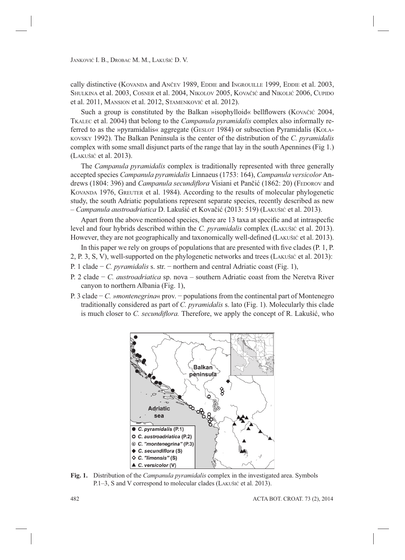cally distinctive (KOVANDA and ANČEV 1989, EDDIE and INGROUILLE 1999, EDDIE et al. 2003, SHULKINA et al. 2003, COSNER et al. 2004, NIKOLOV 2005, KOVAČIĆ and NIKOLIĆ 2006, CUPIDO et al. 2011, MANSION et al. 2012, STAMENKOVIĆ et al. 2012).

Such a group is constituted by the Balkan »isophylloid« bellflowers (Kovačić 2004, TKALEC et al. 2004) that belong to the *Campanula pyramidalis* complex also informally referred to as the »pyramidalis« aggregate (GESLOT 1984) or subsection Pyramidalis (KOLA-KOVSKY 1992). The Balkan Peninsula is the center of the distribution of the *C. pyramidalis* complex with some small disjunct parts of the range that lay in the south Apennines (Fig 1.) (LAKUŠIĆ et al. 2013).

The *Campanula pyramidalis* complex is traditionally represented with three generally accepted species *Campanula pyramidalis* Linnaeus (1753: 164), *Campanula versicolor* Andrews (1804: 396) and *Campanula secundiflora* Visiani et Pančić (1862: 20) (FEDOROV and KOVANDA 1976, GREUTER et al. 1984). According to the results of molecular phylogenetic study, the south Adriatic populations represent separate species, recently described as new – *Campanula austroadriatica* D. Lakušić et Kovačić (2013: 519) (LAKUŠIĆ et al. 2013).

Apart from the above mentioned species, there are 13 taxa at specific and at intraspecfic level and four hybrids described within the *C. pyramidalis* complex (LAKUŠIĆ et al. 2013). However, they are not geographically and taxonomically well-defined (LAKUŠIĆ et al. 2013).

In this paper we rely on groups of populations that are presented with five clades  $(P, 1, P)$ .

- 2, P. 3, S, V), well-supported on the phylogenetic networks and trees (LAKUŠIĆ et al. 2013):
- P. 1 clade − *C. pyramidalis* s. str. − northern and central Adriatic coast (Fig. 1),
- P. 2 clade − *C. austroadriatica* sp. nova southern Adriatic coast from the Neretva River canyon to northern Albania (Fig. 1),
- P. 3 clade − *C. »montenegrina*« prov. − populations from the continental part of Montenegro traditionally considered as part of *C. pyramidalis* s. lato (Fig. 1). Molecularly this clade is much closer to *C. secundiflora*. Therefore, we apply the concept of R. Lakušić, who



**Fig. 1.** Distribution of the *Campanula pyramidalis* complex in the investigated area. Symbols P.1–3, S and V correspond to molecular clades (LAKUŠIĆ et al. 2013).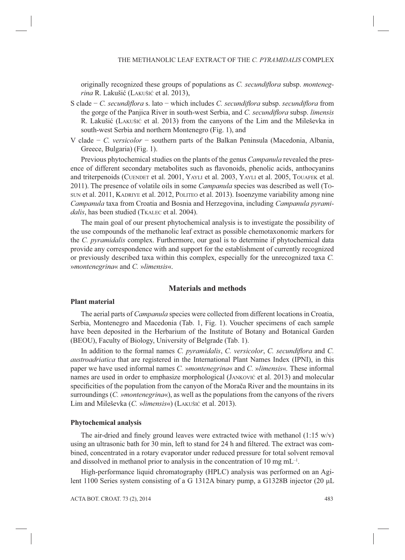originally recognized these groups of populations as *C. secundiflora* subsp. *montenegrina* R. Lakušić (LAKUŠIĆ et al. 2013),

- S clade − *C. secundiflora* s. lato − which includes *C. secundiflora* subsp. *secundiflora* from the gorge of the Panjica River in south-west Serbia, and *C. secundiflora* subsp. *limensis* R. Lakušić (LAKUŠIĆ et al. 2013) from the canyons of the Lim and the Mileševka in south-west Serbia and northern Montenegro (Fig. 1), and
- V clade − *C. versicolor* − southern parts of the Balkan Peninsula (Macedonia, Albania, Greece, Bulgaria) (Fig. 1).

Previous phytochemical studies on the plants of the genus *Campanula* revealed the presence of different secondary metabolites such as flavonoids, phenolic acids, anthocyanins and triterpenoids (CUENDET et al. 2001, YAYLI et al. 2003, YAYLI et al. 2005, TOUAFEK et al. 2011). The presence of volatile oils in some *Campanula* species was described as well (TO-SUN et al. 2011, KADRIYE et al. 2012, POLITEO et al. 2013). Isoenzyme variability among nine *Campanula* taxa from Croatia and Bosnia and Herzegovina, including *Campanula pyrami*dalis, has been studied (TKALEC et al. 2004).

The main goal of our present phytochemical analysis is to investigate the possibility of the use compounds of the methanolic leaf extract as possible chemotaxonomic markers for the *C. pyramidalis* complex. Furthermore, our goal is to determine if phytochemical data provide any correspondence with and support for the establishment of currently recognized or previously described taxa within this complex, especially for the unrecognized taxa *C.* »*montenegrina*« and *C.* »*limensis*«.

## **Materials and methods**

### **Plant material**

The aerial parts of *Campanula* species were collected from different locations in Croatia, Serbia, Montenegro and Macedonia (Tab. 1, Fig. 1). Voucher specimens of each sample have been deposited in the Herbarium of the Institute of Botany and Botanical Garden (BEOU), Faculty of Biology, University of Belgrade (Tab. 1).

In addition to the formal names *C. pyramidalis*, *C. versicolor*, *C. secundiflora* and *C. austroadriatica* that are registered in the International Plant Names Index (IPNI), in this paper we have used informal names *C.* »*montenegrina*« and *C.* »*limensis*«*.* These informal names are used in order to emphasize morphological (JANKOVIĆ et al. 2013) and molecular specificities of the population from the canyon of the Morača River and the mountains in its surroundings (*C. »montenegrina*«), as well as the populations from the canyons of the rivers Lim and Mileševka (*C.* »*limensis*«) (LAKUŠIĆ et al. 2013).

#### **Phytochemical analysis**

The air-dried and finely ground leaves were extracted twice with methanol  $(1:15 \text{ w/v})$ using an ultrasonic bath for 30 min, left to stand for 24 h and filtered. The extract was combined, concentrated in a rotary evaporator under reduced pressure for total solvent removal and dissolved in methanol prior to analysis in the concentration of 10 mg  $mL^{-1}$ .

High-performance liquid chromatography (HPLC) analysis was performed on an Agilent 1100 Series system consisting of a G 1312A binary pump, a G1328B injector (20 μL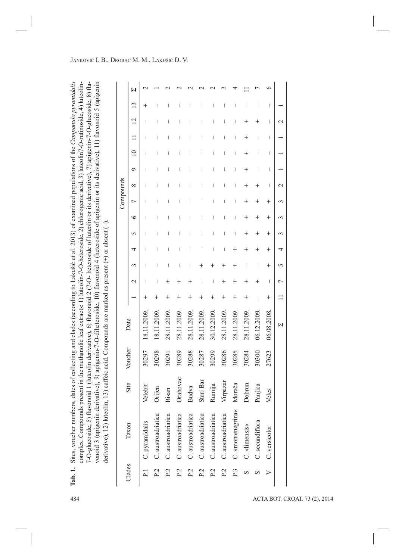| bers, dates of collecting and clades (according to Lakušić et al. 2013) of examined populations of the Campanula pyramidalis<br>ab. 1. Sites, voucher numb     |
|----------------------------------------------------------------------------------------------------------------------------------------------------------------|
| ds present in the methanolic leaf extracts: 1) luteolin-7-O-heteroside, 2) chlorogenic acid, 3) luteolin7-O-rutinoside, 4) luteolin-<br>complex. Compound      |
| avonoid 1 (luteolin derivative), 6) flavonoid 2 (7-O- heteroside of luteolin or its derivative), 7) apigenin-7-O-glucoside, 8) fla-<br>$-0$ -glucoside, 5) fla |
| derivative), 9) apigenin-7-O-diheteroside, 10) flavonoid 4 (heteroside of apigenin or its derivative), 11) flavonoid 5 (apigenin<br>vonoid 3 (apigenin         |
| olin, 13) caffeic acid. Compounds are marked as present $(+)$ or absent $(-)$ .<br>lerivative), 12) lutec                                                      |

|                |                    |           |         |             |              |                 |          |        |          |          | Compounds |                          |         |             |      |                |                          |
|----------------|--------------------|-----------|---------|-------------|--------------|-----------------|----------|--------|----------|----------|-----------|--------------------------|---------|-------------|------|----------------|--------------------------|
| Clades         | Taxon              | Site      | Voucher | Date        |              | $\mathbf{\sim}$ | 3        | 4      | 5        | $\circ$  | 7         | $\infty$                 | $\circ$ | $\supseteq$ | Ξ    | $\overline{c}$ | $\overline{13}$          |
| 급              | C. pyramidalis     | Velebit   | 30297   | 18.11.2009. | $\,{}^+$     |                 |          |        |          |          |           |                          |         |             |      |                | $\,{}^+$                 |
| P <sub>2</sub> | C. austroadriatica | Orijen    | 30298   | 18.11.2009. | $\,{}^{+}\,$ |                 |          |        |          |          |           |                          |         |             |      |                |                          |
| P <sub>2</sub> | C. austroadriatica | Risan     | 30291   | 28.11.2009. | $\,{}^+$     | ┿               |          |        |          |          |           |                          |         |             |      |                |                          |
| P <sub>2</sub> | C. austroadriatica | Orahovac  | 30289   | 28.11.2009  |              | ┽               |          |        |          |          |           |                          |         |             |      |                |                          |
| P.2            | C. austroadriatica | Budva     | 30288   | 28.11.2009. | $\,{}^+$     | $\,{}^+$        |          |        |          |          |           | I                        |         |             |      |                |                          |
| P <sub>2</sub> | C. austroadriatica | Stari Bar | 30287   | 28.11.2009. | $\,{}^+$     |                 |          |        |          |          |           |                          |         |             |      |                |                          |
| P.2            | C. austroadriatica | Rumija    | 30299   | 30.12.2009. | $\,^+$       |                 |          |        |          |          |           |                          |         |             |      |                |                          |
| P <sub>2</sub> | C. austroadriatica | Virpazar  | 30286   | 28.11.2009. | $\,{}^+$     | $\,{}^+$        |          |        |          |          |           |                          |         |             |      |                |                          |
| P.3            | C. »montenegrina«  | Morača    | 30285   | 28.11.2009  |              | ┽               |          |        |          |          |           |                          |         |             |      |                |                          |
| S              | C. »limensis«      | Dobrun    | 30284   | 28.11.2009. | $\,{}^+$     | $\,{}^+$        |          |        | $\,{}^+$ | $^+$     | $^+$      | $\,{}^+$                 | $^+$    | ┿           | $^+$ | $^+$           |                          |
| S              | C. secundiflora    | Panjica   | 30300   | 06.12.2009  |              | $^+$            |          | ┿      | $\,{}^+$ | $\,{}^+$ | $^+$      | $\,{}^{+}\,$             |         |             |      | $\,{}^+$       | $\overline{1}$           |
| ➢              | C. versicolor      | Veles     | 27623   | 06.08.2008  | $\,^+$       | $\mathbf{I}$    | $\,{}^+$ | $\,^+$ | $\,^+$   | $\,^+$   | $^{+}$    | $\overline{\phantom{a}}$ | I       | -           | ı    | I              | $\overline{\phantom{a}}$ |
|                |                    |           |         | M           | $\equiv$     | $\overline{ }$  | 5        | 4      | 3        | 3        | 3         | $\mathbf{\sim}$          |         |             |      | $\mathcal{L}$  |                          |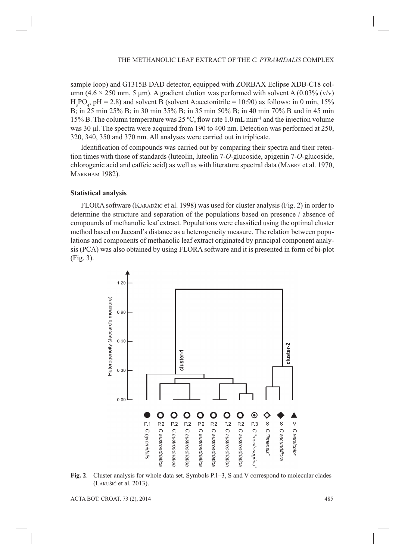sample loop) and G1315B DAD detector, equipped with ZORBAX Eclipse XDB-C18 column (4.6  $\times$  250 mm, 5 µm). A gradient elution was performed with solvent A (0.03% (v/v)  $H_3PO_4$ , pH = 2.8) and solvent B (solvent A:acetonitrile = 10:90) as follows: in 0 min, 15% B; in 25 min 25% B; in 30 min 35% B; in 35 min 50% B; in 40 min 70% B and in 45 min 15% B. The column temperature was 25 °C, flow rate 1.0 mL min<sup>-1</sup> and the injection volume was 30 μl. The spectra were acquired from 190 to 400 nm. Detection was performed at 250, 320, 340, 350 and 370 nm. All analyses were carried out in triplicate.

Identification of compounds was carried out by comparing their spectra and their retention times with those of standards (luteolin, luteolin 7-*O*-glucoside, apigenin 7-*O*-glucoside, chlorogenic acid and caffeic acid) as well as with literature spectral data (MABRY et al. 1970, MARKHAM 1982).

## **Statistical analysis**

FLORA software (KARADŽIĆ et al. 1998) was used for cluster analysis (Fig. 2) in order to determine the structure and separation of the populations based on presence / absence of compounds of methanolic leaf extract. Populations were classified using the optimal cluster method based on Jaccard's distance as a heterogeneity measure. The relation between populations and components of methanolic leaf extract originated by principal component analysis (PCA) was also obtained by using FLORA software and it is presented in form of bi-plot (Fig. 3).



**Fig. 2**. Cluster analysis for whole data set. Symbols P.1–3, S and V correspond to molecular clades (LAKUŠIĆ et al. 2013).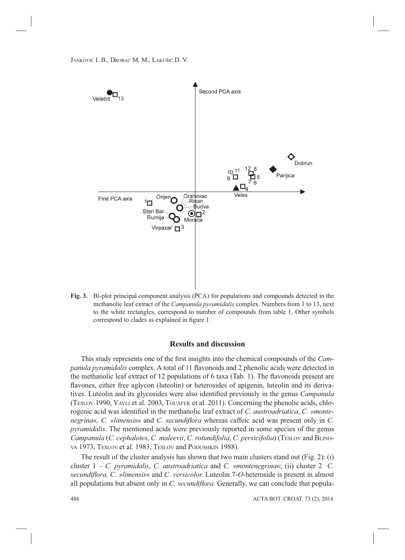

**Fig. 3.** Bi-plot principal component analysis (PCA) for populations and compounds detected in the methanolic leaf extract of the *Campanula pyramidalis* complex. Numbers from 1 to 13, next to the white rectangles, correspond to number of compounds from table 1. Other symbols correspond to clades as explained in figure 1.

## **Results and discussion**

This study represents one of the first insights into the chemical compounds of the *Campanula pyramidalis* complex. A total of 11 flavonoids and 2 phenolic acids were detected in the methanolic leaf extract of 12 populations of 6 taxa (Tab. 1). The flavonoids present are flavones, either free aglycon (luteolin) or heterosides of apigenin, luteolin and its derivatives. Luteolin and its glycosides were also identified previously in the genus *Campanula* (TESLOV 1990, YAYLI et al. 2003, TOUAFEK et al. 2011). Concerning the phenolic acids, chlorogenic acid was identified in the methanolic leaf extract of *C. austroadriatica*, *C. »montenegrina*«, C. *»limensis*« and C. *secundiflora* whereas caffeic acid was present only in C. *pyramidalis*. The mentioned acids were previously reported in some species of the genus *Campanula* (*C. cephalotes*, *C. maleevii*, *C. rotundifolia*, *C. persicifolia*) (TESLOV and BLINO-VA 1973, TESLOV et al. 1983, TESLOV and PODUSHKIN 1988).

The result of the cluster analysis has shown that two main clusters stand out (Fig. 2): (i) cluster 1 – *C. pyramidalis*, *C. austroadriatica* and *C. »montenegrina*«; (ii) cluster 2 *C. secundifl ora, C. »limensis*« and *C. versicolor.* Luteolin 7-*O*-heteroside is present in almost all populations but absent only in *C. secundiflora*. Generally, we can conclude that popula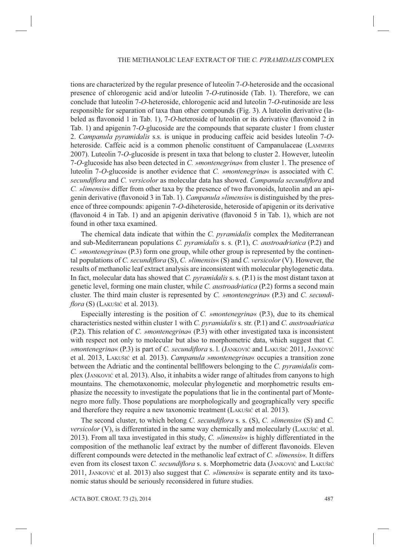tions are characterized by the regular presence of luteolin 7-*O*-heteroside and the occasional presence of chlorogenic acid and/or luteolin 7-*O*-rutinoside (Tab. 1). Therefore, we can conclude that luteolin 7-*O*-heteroside, chlorogenic acid and luteolin 7-*O*-rutinoside are less responsible for separation of taxa than other compounds (Fig. 3). A luteolin derivative (labeled as flavonoid 1 in Tab. 1), 7-*O*-heteroside of luteolin or its derivative (flavonoid 2 in Tab. 1) and apigenin 7-*O*-glucoside are the compounds that separate cluster 1 from cluster 2. *Campanula pyramidalis* s.s. is unique in producing caffeic acid besides luteolin 7-*O*heteroside. Caffeic acid is a common phenolic constituent of Campanulaceae (LAMMERS 2007). Luteolin 7-*O*-glucoside is present in taxa that belong to cluster 2. However, luteolin 7-*O*-glucoside has also been detected in *C. »montenegrina*« from cluster 1. The presence of luteolin 7-*O*-glucoside is another evidence that *C. »montenegrina*« is associated with *C. secundiflora* and *C. versicolor* as molecular data has showed. *Campanula secundiflora* and *C. »limensis«* differ from other taxa by the presence of two flavonoids, luteolin and an apigenin derivative (flavonoid 3 in Tab. 1). *Campanula »limensis*« is distinguished by the presence of three compounds: apigenin 7-*O*-diheteroside, heteroside of apigenin or its derivative (flavonoid 4 in Tab. 1) and an apigenin derivative (flavonoid 5 in Tab. 1), which are not found in other taxa examined.

The chemical data indicate that within the *C. pyramidalis* complex the Mediterranean and sub-Mediterranean populations *C. pyramidalis* s. s. (P.1), *C. austroadriatica* (P.2) and *C. »montenegrina*« (P.3) form one group, while other group is represented by the continental populations of *C. secundiflora* (S), *C. »limensis*« (S) and *C. versicolor* (V). However, the results of methanolic leaf extract analysis are inconsistent with molecular phylogenetic data. In fact, molecular data has showed that *C. pyramidalis* s. s. (P.1) is the most distant taxon at genetic level, forming one main cluster, while *C. austroadriatica* (P.2) forms a second main cluster. The third main cluster is represented by *C. »montenegrina*« (P.3) and *C. secundiflora* (S) (LAKUŠIĆ et al. 2013).

Especially interesting is the position of *C. »montenegrina*« (P.3), due to its chemical characteristics nested within cluster 1 with *C. pyramidalis* s. str. (P.1) and *C. austroadriatica*  (P.2). This relation of *C. »montenegrina*« (P.3) with other investigated taxa is inconsistent with respect not only to molecular but also to morphometric data, which suggest that *C. »montenegrina*« (P.3) is part of *C. secundiflora* s. l. (JANKOVIĆ and LAKUŠIĆ 2011, JANKOVIĆ et al. 2013, LAKUŠIĆ et al. 2013). *Campanula »montenegrina*« occupies a transition zone between the Adriatic and the continental bellflowers belonging to the *C. pyramidalis* complex (JANKOVIĆ et al. 2013). Also, it inhabits a wider range of altitudes from canyons to high mountains. The chemotaxonomic, molecular phylogenetic and morphometric results emphasize the necessity to investigate the populations that lie in the continental part of Montenegro more fully. Those populations are morphologically and geographically very specific and therefore they require a new taxonomic treatment (LAKUŠIĆ et al. 2013).

The second cluster, to which belong *C. secundiflora* s. s. (S), *C. »limensis*« (S) and *C. versicolor* (V), is differentiated in the same way chemically and molecularly (LAKUŠIĆ et al. 2013). From all taxa investigated in this study, *C. »limensis*« is highly differentiated in the composition of the methanolic leaf extract by the number of different flavonoids. Eleven different compounds were detected in the methanolic leaf extract of *C. »limensis*«*.* It differs even from its closest taxon *C. secundiflora* s. s. Morphometric data (JANKOVIĆ and LAKUŠIĆ 2011, JANKOVIĆ et al. 2013) also suggest that *C. »limensis*« is separate entity and its taxonomic status should be seriously reconsidered in future studies.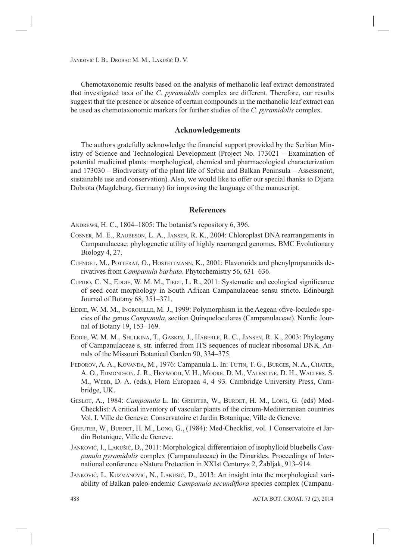Chemotaxonomic results based on the analysis of methanolic leaf extract demonstrated that investigated taxa of the *C. pyramidalis* complex are different. Therefore, our results suggest that the presence or absence of certain compounds in the methanolic leaf extract can be used as chemotaxonomic markers for further studies of the *C. pyramidalis* complex.

# **Acknowledgements**

The authors gratefully acknowledge the financial support provided by the Serbian Ministry of Science and Technological Development (Project No. 173021 – Examination of potential medicinal plants: morphological, chemical and pharmacological characterization and 173030 – Biodiversity of the plant life of Serbia and Balkan Peninsula – Assessment, sustainable use and conservation). Also, we would like to offer our special thanks to Dijana Dobrota (Magdeburg, Germany) for improving the language of the manuscript.

## **References**

ANDREWS, H. C., 1804–1805: The botanist's repository 6, 396.

- COSNER, M. E., RAUBESON, L. A., JANSEN, R. K., 2004: Chloroplast DNA rearrangements in Campanulaceae: phylogenetic utility of highly rearranged genomes. BMC Evolutionary Biology 4, 27.
- CUENDET, M., POTTERAT, O., HOSTETTMANN, K., 2001: Flavonoids and phenylpropanoids derivatives from *Campanula barbata*. Phytochemistry 56, 631–636.
- CUPIDO, C. N., EDDIE, W. M. M., TIEDT, L. R., 2011: Systematic and ecological significance of seed coat morphology in South African Campanulaceae sensu stricto. Edinburgh Journal of Botany 68, 351–371.
- EDDIE, W. M. M., INGROUILLE, M. J., 1999: Polymorphism in the Aegean »five-loculed« species of the genus *Campanula*, section Quinqueloculares (Campanulaceae). Nordic Journal of Botany 19, 153–169.
- EDDIE, W. M. M., SHULKINA, T., GASKIN, J., HABERLE, R. C., JANSEN, R. K., 2003: Phylogeny of Campanulaceae s. str. inferred from ITS sequences of nuclear ribosomal DNK. Annals of the Missouri Botanical Garden 90, 334–375.
- FEDOROV, A. A., KOVANDA, M., 1976: Campanula L. In: TUTIN, T. G., BURGES, N. A., CHATER, A. O., EDMONDSON, J. R., HEYWOOD, V. H., MOORE, D. M., VALENTINE, D. H., WALTERS, S. M., WEBB, D. A. (eds.), Flora Europaea 4, 4–93*.* Cambridge University Press, Cambridge, UK.
- GESLOT, A., 1984: *Campanula* L. In: GREUTER, W., BURDET, H. M., LONG, G. (eds) Med-Checklist: A critical inventory of vascular plants of the circum-Mediterranean countries Vol. I. Ville de Geneve: Conservatoire et Jardin Botanique, Ville de Geneve.
- GREUTER, W., BURDET, H. M., LONG, G., (1984): Med-Checklist, vol. 1 Conservatoire et Jardin Botanique, Ville de Geneve.
- JANKOVIĆ, I., LAKUŠIĆ, D., 2011: Morphological differentiaion of isophylloid bluebells *Campanula pyramidalis* complex (Campanulaceae) in the Dinarides. Proceedings of International conference »Nature Protection in XXIst Century« 2, Žabljak, 913–914.
- JANKOVIĆ, I., KUZMANOVIĆ, N., LAKUŠIĆ, D., 2013: An insight into the morphological variability of Balkan paleo-endemic *Campanula secundiflora* species complex (Campanu-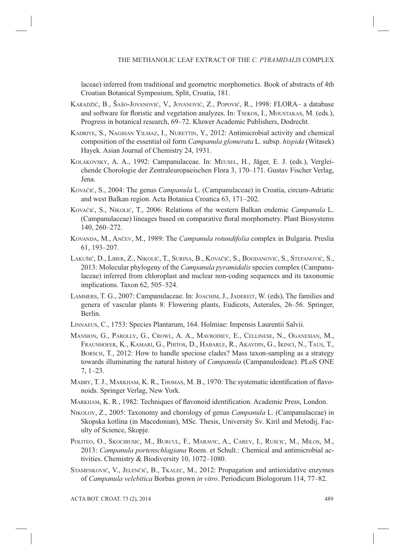laceae) inferred from traditional and geometric morphometics. Book of abstracts of 4th Croatian Botanical Symposium, Split, Croatia, 181.

- KARADŽIĆ, B., ŠAŠO-JOVANOVIĆ, V., JOVANOVIĆ, Z., POPOVIĆ, R., 1998: FLORA– a database and software for floristic and vegetation analyzes. In: TSEKOS, I., MOUSTAKAS, M. (eds.), Progress in botanical research, 69–72. Kluwer Academic Publishers, Dodrecht.
- KADRIYE, S., NAGIHAN YILMAZ, I., NURETTIN, Y., 2012: Antimicrobial activity and chemical composition of the essential oil form *Campanula glomerata* L. subsp. *hispida* (Witasek) Hayek. Asian Journal of Chemistry 24, 1931.
- KOLAKOVSKY, A. A., 1992: Campanulaceae. In: MEUSEL, H., Jäger, E. J. (eds.), Vergleichende Chorologie der Zentraleuropaeischen Flora 3, 170–171. Gustav Fischer Verlag, Jena.
- KOVAČIĆ, S., 2004: The genus *Campanula* L. (Campanulaceae) in Croatia, circum-Adriatic and west Balkan region. Acta Botanica Croatica 63, 171–202.
- KOVAČIĆ, S., NIKOLIĆ, T., 2006: Relations of the western Balkan endemic *Campanula* L. (Campanulaceae) lineages based on comparative floral morphometry. Plant Biosystems 140, 260–272.
- KOVANDA, M., ANČEV, M., 1989: The *Campanula rotundifolia* complex in Bulgaria. Preslia 61, 193–207.
- LAKUŠIĆ, D., LIBER, Z., NIKOLIĆ, T., SURINA, B., KOVAČIĆ, S., BOGDANOVIĆ, S., STEFANOVIĆ, S., 2013: Molecular phylogeny of the *Campanula pyramidalis* species complex (Campanulaceae) inferred from chloroplast and nuclear non-coding sequences and its taxonomic implications. Taxon 62, 505–524.
- LAMMERS, T. G., 2007: Campanulaceae. In: JOACHIM, J., JADEREIT, W. (eds), The families and genera of vascular plants 8: Flowering plants, Eudicots, Asterales, 26–56. Springer, Berlin.
- LINNAEUS, C., 1753: Species Plantarum, 164. Holmiae: Impensis Laurentii Salvii.
- MANSION, G., PAROLLY, G., CROWL, A. A., MAVRODIEV, E., CELLINESE, N., OGANESIAN, M., FRAUNHOFER, K., KAMARI, G., PHITOS, D., HABARLE, R., AKAYDIN, G., IKINCI, N., TAUS, T., BORSCH, T., 2012: How to handle speciose clades? Mass taxon-sampling as a strategy towards illuminating the natural history of *Campanula* (Campanuloideae). PLoS ONE 7, 1–23.
- MABRY, T. J., MARKHAM, K. R., THOMAS, M. B., 1970: The systematic identification of flavonoids. Springer Verlag, New York.
- MARKHAM, K. R., 1982: Techniques of flavonoid identification. Academic Press, London.
- NIKOLOV, Z., 2005: Taxonomy and chorology of genus *Campanula* L. (Campanulaceae) in Skopska kotlina (in Macedonian), MSc. Thesis, University Sv. Kiril and Metodij, Faculty of Science, Skopje.
- POLITEO, O., SKOCIBUSIC, M., BURCUL, F., MARAVIC, A., CAREV, I., RUSCIC, M., MILOS, M., 2013: *Campanula portenschlagiana* Roem. et Schult.: Chemical and antimicrobial activities. Chemistry & Biodiversity 10, 1072–1080.
- STAMENKOVIĆ, V., JELENČIĆ, B., TKALEC, M., 2012: Propagation and antioxidative enzymes of *Campanula velebitica* Borbas grown *in vitro*. Periodicum Biologorum 114, 77–82.